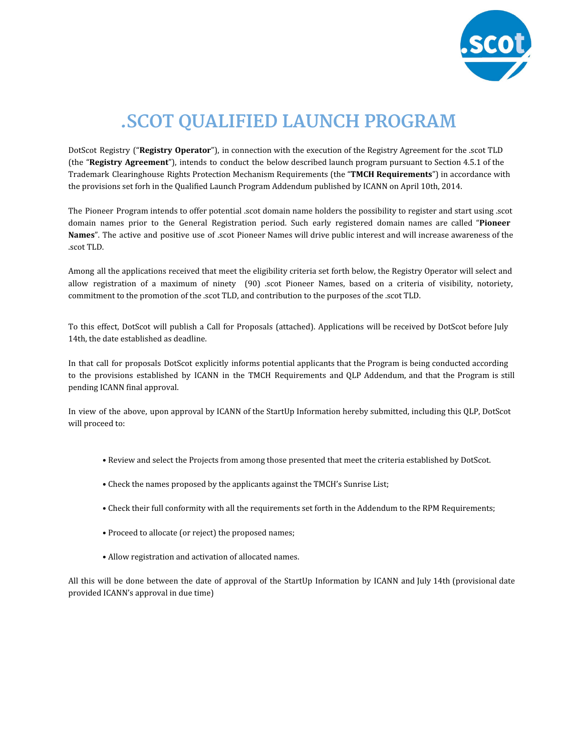

# **.SCOT QUALIFIED LAUNCH PROGRAM**

DotScot Registry ("**Registry Operator**"), in connection with the execution of the Registry Agreement for the .scot TLD (the "**Registry Agreement**"), intends to conduct the below described launch program pursuant to Section 4.5.1 of the Trademark Clearinghouse Rights Protection Mechanism Requirements (the "**TMCH Requirements**") in accordance with the provisions set forh in the Qualified Launch Program Addendum published by ICANN on April 10th, 2014.

The Pioneer Program intends to offer potential .scot domain name holders the possibility to register and start using .scot domain names prior to the General Registration period. Such early registered domain names are called "**Pioneer Names**". The active and positive use of .scot Pioneer Names will drive public interest and will increase awareness of the .scot TLD.

Among all the applications received that meet the eligibility criteria set forth below, the Registry Operator will select and allow registration of a maximum of ninety (90) scot Pioneer Names, based on a criteria of visibility, notoriety, commitment to the promotion of the .scot TLD, and contribution to the purposes of the .scot TLD.

To this effect, DotScot will publish a Call for Proposals (attached). Applications will be received by DotScot before July 14th, the date established as deadline.

In that call for proposals DotScot explicitly informs potential applicants that the Program is being conducted according to the provisions established by ICANN in the TMCH Requirements and QLP Addendum, and that the Program is still pending ICANN final approval.

In view of the above, upon approval by ICANN of the StartUp Information hereby submitted, including this QLP, DotScot will proceed to:

- Review and select the Projects from among those presented that meet the criteria established by DotScot.
- Check the names proposed by the applicants against the TMCH's Sunrise List;
- Check their full conformity with all the requirements set forth in the Addendum to the RPM Requirements;
- Proceed to allocate (or reject) the proposed names;
- Allow registration and activation of allocated names.

All this will be done between the date of approval of the StartUp Information by ICANN and July 14th (provisional date provided ICANN's approval in due time)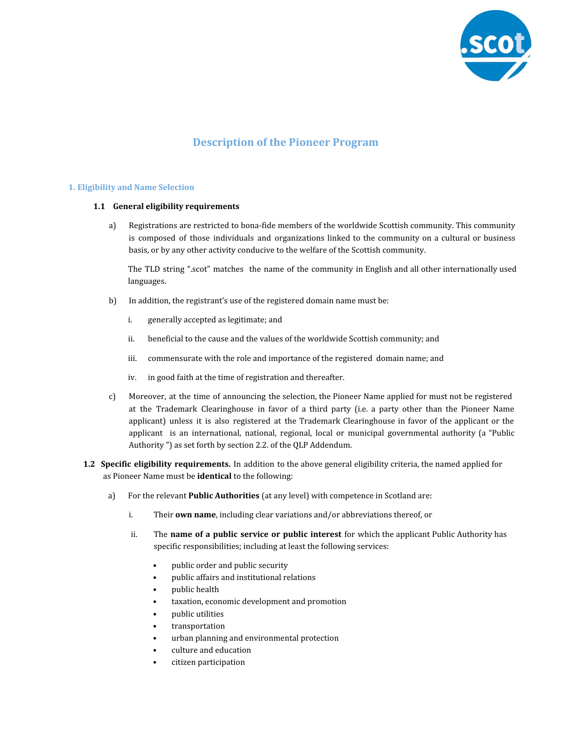

## **Description of the Pioneer Program**

#### **1. Eligibility and Name Selection**

#### **1.1 General eligibility requirements**

a) Registrations are restricted to bona-fide members of the worldwide Scottish community. This community is composed of those individuals and organizations linked to the community on a cultural or business basis, or by any other activity conducive to the welfare of the Scottish community.

The TLD string ".scot" matches the name of the community in English and all other internationally used languages.

- b) In addition, the registrant's use of the registered domain name must be:
	- i. generally accepted as legitimate; and
	- ii. beneficial to the cause and the values of the worldwide Scottish community; and
	- iii. commensurate with the role and importance of the registered domain name; and
	- iv. in good faith at the time of registration and thereafter.
- c) Moreover, at the time of announcing the selection, the Pioneer Name applied for must not be registered at the Trademark Clearinghouse in favor of a third party (i.e. a party other than the Pioneer Name applicant) unless it is also registered at the Trademark Clearinghouse in favor of the applicant or the applicant is an international, national, regional, local or municipal governmental authority (a "Public Authority ") as set forth by section 2.2. of the QLP Addendum.
- **1.2 Specific eligibility requirements.** In addition to the above general eligibility criteria, the named applied for as Pioneer Name must be **identical** to the following:
	- a) For the relevant **Public Authorities** (at any level) with competence in Scotland are:
		- i. Their **own name**, including clear variations and/or abbreviations thereof, or
		- ii. The **name of a public service or public interest** for which the applicant Public Authority has specific responsibilities; including at least the following services:
			- public order and public security
			- public affairs and institutional relations
			- public health
			- taxation, economic development and promotion
			- public utilities
			- transportation
			- urban planning and environmental protection
			- culture and education
			- citizen participation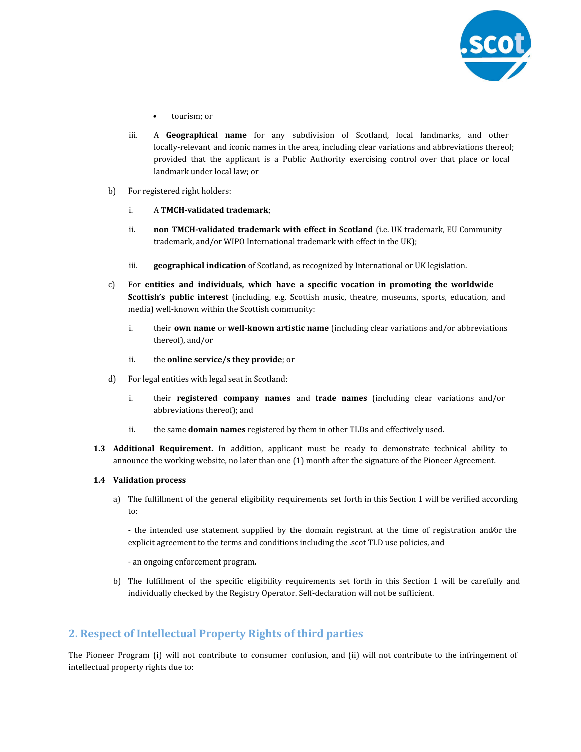

- tourism; or
- iii. A **Geographical name** for any subdivision of Scotland, local landmarks, and other locally-relevant and iconic names in the area, including clear variations and abbreviations thereof; provided that the applicant is a Public Authority exercising control over that place or local landmark under local law; or
- b) For registered right holders:
	- i. A **TMCH-validated trademark**;
	- ii. **non TMCH-validated trademark with effect in Scotland** (i.e. UK trademark, EU Community trademark, and/or WIPO International trademark with effect in the UK);
	- iii. **geographical indication** of Scotland, as recognized by International or UK legislation.
- c) For **entities and individuals, which have a specific vocation in promoting the worldwide Scottish's public interest** (including, e.g. Scottish music, theatre, museums, sports, education, and media) well-known within the Scottish community:
	- i. their **own name** or **well-known artistic name** (including clear variations and/or abbreviations thereof), and/or
	- ii. the **online service/s they provide**; or
- d) For legal entities with legal seat in Scotland:
	- i. their **registered company names** and **trade names** (including clear variations and/or abbreviations thereof); and
	- ii. the same **domain names** registered by them in other TLDs and effectively used.
- **1.3 Additional Requirement.** In addition, applicant must be ready to demonstrate technical ability to announce the working website, no later than one (1) month after the signature of the Pioneer Agreement.

### **1.4 Validation process**

a) The fulfillment of the general eligibility requirements set forth in this Section 1 will be verified according to:

- the intended use statement supplied by the domain registrant at the time of registration and**⁄**or the explicit agreement to the terms and conditions including the .scot TLD use policies, and

- an ongoing enforcement program.

b) The fulfillment of the specific eligibility requirements set forth in this Section 1 will be carefully and individually checked by the Registry Operator. Self-declaration will not be sufficient.

## **2. Respect of Intellectual Property Rights of third parties**

The Pioneer Program (i) will not contribute to consumer confusion, and (ii) will not contribute to the infringement of intellectual property rights due to: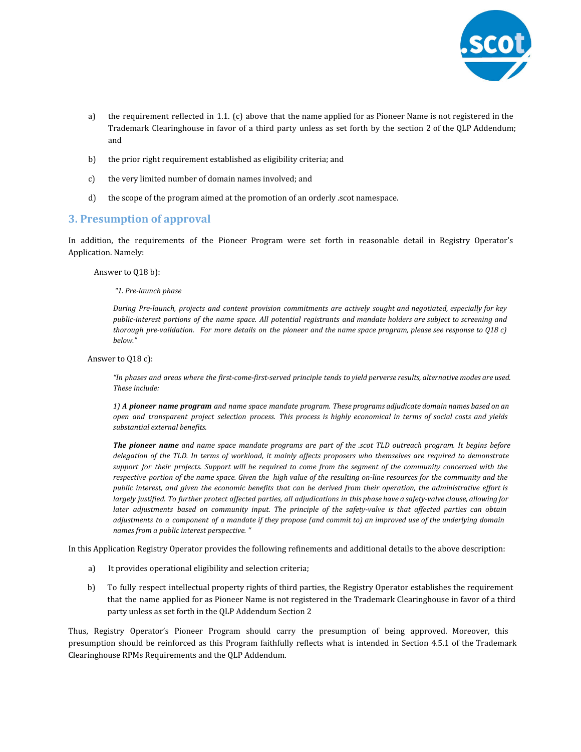

- a) the requirement reflected in 1.1. (c) above that the name applied for as Pioneer Name is not registered in the Trademark Clearinghouse in favor of a third party unless as set forth by the section 2 of the QLP Addendum; and
- b) the prior right requirement established as eligibility criteria; and
- c) the very limited number of domain names involved; and
- d) the scope of the program aimed at the promotion of an orderly .scot namespace.

## **3. Presumption of approval**

In addition, the requirements of the Pioneer Program were set forth in reasonable detail in Registry Operator's Application. Namely:

Answer to Q18 b):

*"1. Pre-launch phase*

*During Pre-launch, projects and content provision commitments are actively sought and negotiated, especially for key* public-interest portions of the name space. All potential registrants and mandate holders are subject to screening and thorough pre-validation. For more details on the pioneer and the name space program, please see response to Q18 c) *below."*

Answer to Q18 c):

"In phases and areas where the first-come-first-served principle tends to yield perverse results, alternative modes are used. *These include:*

1) A pioneer name program and name space mandate program. These programs adjudicate domain names based on an open and transparent project selection process. This process is highly economical in terms of social costs and yields *substantial external benefits.*

**The pioneer name** and name space mandate programs are part of the .scot TLD outreach program. It begins before delegation of the TLD. In terms of workload, it mainly affects proposers who themselves are required to demonstrate support for their projects. Support will be required to come from the segment of the community concerned with the respective portion of the name space. Given the high value of the resulting on-line resources for the community and the public interest, and given the economic benefits that can be derived from their operation, the administrative effort is largely justified. To further protect affected parties, all adjudications in this phase have a safety-valve clause, allowing for later adjustments based on community input. The principle of the safety-valve is that affected parties can obtain adjustments to a component of a mandate if they propose (and commit to) an improved use of the underlying domain *names from a public interest perspective. "*

In this Application Registry Operator provides the following refinements and additional details to the above description:

- a) It provides operational eligibility and selection criteria;
- b) To fully respect intellectual property rights of third parties, the Registry Operator establishes the requirement that the name applied for as Pioneer Name is not registered in the Trademark Clearinghouse in favor of a third party unless as set forth in the QLP Addendum Section 2

Thus, Registry Operator's Pioneer Program should carry the presumption of being approved. Moreover, this presumption should be reinforced as this Program faithfully reflects what is intended in Section 4.5.1 of the Trademark Clearinghouse RPMs Requirements and the QLP Addendum.